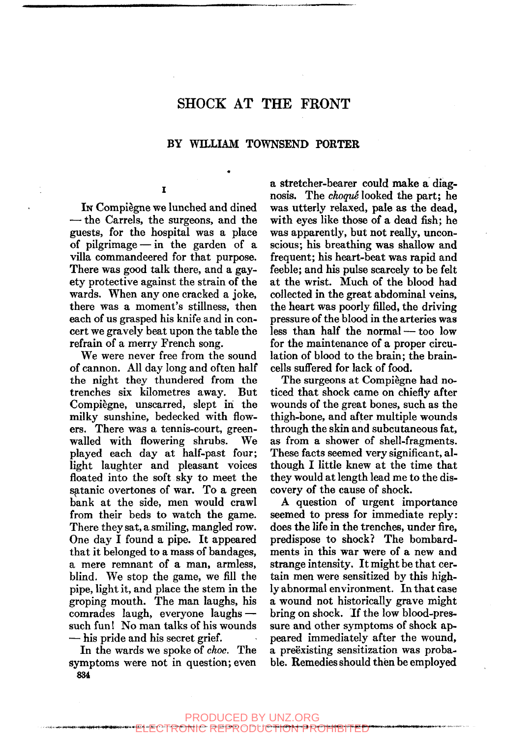# SHOCK AT THE FRONT

#### BY WILLIAM TOWNSEND PORTER

I

In Compiègne we lunched and dined — the Carrels, the surgeons, and the guests, for the hospital was a place of pilgrimage — in the garden of a villa commandeered for that purpose. There was good talk there, and a gayety protective against the strain of the wards. When any one cracked a joke, there was a moment's stillness, then each of us grasped his knife and in concert we gravely beat upon the table the refrain of a merry French song.

We were never free from the sound of cannon. All day long and often half the night they thundered from the trenches six kilometres away. But Compiegne, unscarred, slept in the milky sunshine, bedecked with flowers. There was a tennis-court, greenwalled with flowering shrubs. We played each day at half-past four; light laughter and pleasant voices floated into the soft sky to meet the Satanic overtones of war. To a green bank at the side, men would crawl from their beds to watch the game. There they sat, a smiling, mangled row. One day I found a pipe. It appeared that it belonged to a mass of bandages, a mere remnant of a man, armless, blind. We stop the game, we fill the pipe, light it, and place the stem in the groping mouth. The man laughs, his comrades laugh, everyone laughs such fun! No man talks of his wounds — his pride and his secret grief.

In the wards we spoke of *choc.* The symptoms were not in question; even **834** 

a stretcher-bearer could make a diagnosis. The *choqué* looked the part; he was utterly relaxed, pale as the dead, with eyes like those of a dead fish; he was apparently, but not really, unconscious; his breathing was shallow and frequent; his heart-beat was rapid and feeble; and his pulse scarcely to be felt at the wrist. Much of the blood had collected in the great abdominal veins, the heart was poorly filled, the driving pressure of the blood in the arteries was less than half the normal — too low for the maintenance of a proper circulation of blood to the brain; the braincells sufl'ered for lack of food.

The surgeons at Compiègne had noticed that shock came on chiefly after wounds of the great bones, such as the thigh-bone, and after multiple wounds through the skin and subcutaneous fat, as from a shower of shell-fragments. These facts seemed very significant, although I little knew at the time that they would at length lead me to the discovery of the cause of shock.

A question of urgent importance seemed to press for immediate reply: does the life in the trenches, under fire, predispose to shock? The bombardments in this war were of a new and strange intensity. It might be that certain men were sensitized by this highly abnormal environment. In that case a wound not historically grave might bring on shock. If the low blood-pressure and other symptoms of shock appeared immediately after the wound, a preëxisting sensitization was probable. Remedies should then be employed

#### PRODUCED BY UNZ.ORG

ELECTRONIC REPRODUCTION PROHIBITED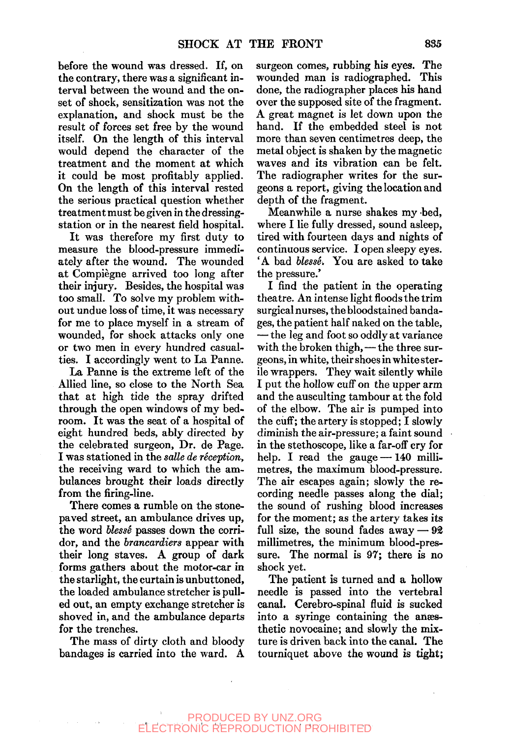before the wound was dressed. If, on the contrary, there was a significant interval between the wound and the onset of shock, sensitization was not the explanation, and shock must be the result of forces set free by the wound itself. On the length of this interval would depend the character of the treatment and the moment at which it could be most profitably applied. On the length of this interval rested the serious practical question whether treatment must be given in the dressingstation or in the nearest field hospital.

It was therefore my first duty to measure the blood-pressure immediately after the wound. The wounded at Compiegne arrived too long after their injury. Besides, the hospital was too small. To solve my problem without undue loss of time, it was necessary for me to place myself in a stream of wounded, for shock attacks only one or two men in every hundred casualties. I accordingly went to La Panne.

La Panne is the extreme left of the Allied line, so close to the North Sea that at high tide the spray drifted through the open windows of my bedroom. It was the seat of a hospital of eight hundred beds, ably directed by the celebrated surgeon. Dr. de Page. I was stationed in the *salle de reception,*  the receiving ward to which the ambulances brought their loads directly from the firing-line.

There comes a rumble on the stonepaved street, an ambulance drives up, the word *blessé* passes down the corridor, and the *brancardiers* appear with their long staves. A group of dark forms gathers about the motor-car in the starlight, the curtain is unbuttoned, the loaded ambulance stretcher is pulled out, an empty exchange stretcher is shoved in, and the ambulance departs for the trenches.

The mass of dirty cloth and bloody bandages is carried into the ward. A surgeon comes, rubbing his eyes. The wounded man is radiographed. This done, the radiographer places his hand over the supposed site of the fragment. A great magnet is let down upon the hand. If the embedded steel is not more than seven centimetres deep, the metal object is shaken by the magnetic waves and its vibration can be felt. The radiographer writes for the surgeons a report, giving the location and depth of the fragment.

Meanwhile a nurse shakes my bed, where I lie fully dressed, sound asleep, tired with fourteen days and nights of continuous service. I open sleepy eyes. 'A bad *blesse.* You are asked to take the pressure.'

I find the patient in the operating theatre. An intense light floods the trim surgical nurses, the bloodstained bandages, the patient half naked on the table, — the leg and foot so oddly at variance with the broken thigh, — the three surgeons, in white, their shoes in white sterile wrappers. They wait silently while I put the hollow cuff on the upper arm and the ausculting tambour at the fold of the elbow. The air is pumped into the cuff; the artery is stopped; I slowly diminish the air-pressure; a faint sound in the stethoscope, like a far-off cry for help. I read the gauge - 140 millimetres, the maximum blood-pressure. The air escapes again; slowly the recording needle passes along the dial; the sound of rushing blood increases for the moment; as the artery takes its full size, the sound fades away  $-92$ millimetres, the minimum blood-pressure. The normal is 97; there is no shock yet.

The patient is turned and a hollow needle is passed into the vertebral canal. Cerebro-spinal fluid is sucked into a syringe containing the anesthetic novocaine; and slowly the mixture is driven back into the canal. The tourniquet above the wound is tight;

### PRODUCED BY UNZ.ORG ELECTRONIC REPRODUCTION PROHIBITED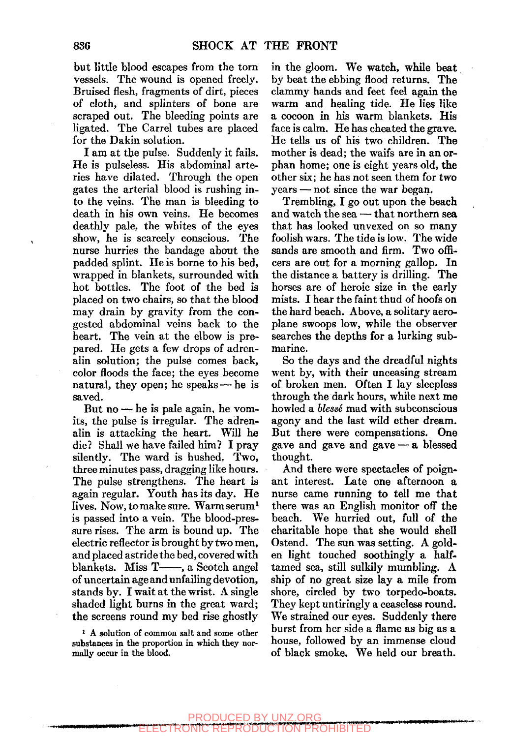but little blood escapes from the torn vessels. The wound is opened freely. Bruised flesh, fragments of dirt, pieces of cloth, and splinters of bone are scraped out. The bleeding points are ligated. The Carrel tubes are placed for the Dakin solution.

I am at the pulse. Suddenly it fails. He is pulseless. His abdominal arteries have dilated. Through the open gates the arterial blood is rushing into the veins. The man is bleeding to death in his own veins. He becomes deathly pale, the whites of the eyes show, he is scarcely conscious. The nurse hurries the bandage about the padded splint. He is borne to his bed, wrapped in blankets, surrounded with hot bottles. The foot of the bed is placed on two chairs, so that the blood may drain by gravity from the congested abdominal veins back to the heart. The vein at the elbow is prepared. He gets a few drops of adrenalin solution; the pulse comes back, color floods the face; the eyes become natural, they open; he speaks — he is saved.

But no — he is pale again, he vomits, the pulse is irregular. The adrenalin is attacking the heart. Will he die? Shall we have failed him? I pray silently. The ward is hushed. Two, three minutes pass, dragging like hours. The pulse strengthens. The heart is again regular. Youth has its day. He lives. Now, to make sure. Warm serum<sup>1</sup> is passed into a vein. The blood-pressure rises. The arm is bound up. The electric reflector is brought by two men, and placed astride the bed, covered with blankets. Miss T—, a Scotch angel of uncertain age and unfailing devotion, stands by. I wait at the wrist. A single shaded light burns in the great ward; the screens round my bed rise ghostly

' A solution of common salt and some other substances in the proportion in which they normally occur in the blood.

in the gloom. We watch, while beat by beat the ebbing flood returns. The clammy hands and feet feel again the warm and healing tide. He lies like a cocoon in his warm blankets. His face is calm. He has cheated the grave. He tells us of his two children. The mother is dead; the waifs are in an orphan home; one is eight years old, the other six; he has not seen them for two years — not since the war began.

Trembling, I go out upon the beach and watch the sea — that northern sea that has looked unvexed on so many foolish wars. The tide is low. The wide sands are smooth and firm. Two officers are out for a morning gallop. In the distance a battery is drilling. The horses are of heroic size in the early mists. I hear the faint thud of hoofs on the hard beach. Above, a solitary aeroplane swoops low, while the observer searches the depths for a lurking submarine.

So the days and the dreadful nights went by, with their unceasing stream of broken men. Often I lay sleepless through the dark hours, while next me howled a *blessé* mad with subconscious agony and the last wild ether dream. But there were compensations. One gave and gave and gave — a blessed thought.

And there were spectacles of poignant interest. Late one afternoon a nurse came running to tell me that there was an English monitor off the beach. We hurried out, full of the charitable hope that she would shell Ostend. The sun was setting. A golden light touched soothingly a halftamed sea, still sulkily mumbling. A ship of no great size lay a mile from shore, circled by two torpedo-boats. They kept untiringly a ceaseless round. We strained our eyes. Suddenly there burst from her side a flame as big as a house, followed by an immense cloud of black smoke. We held our breath.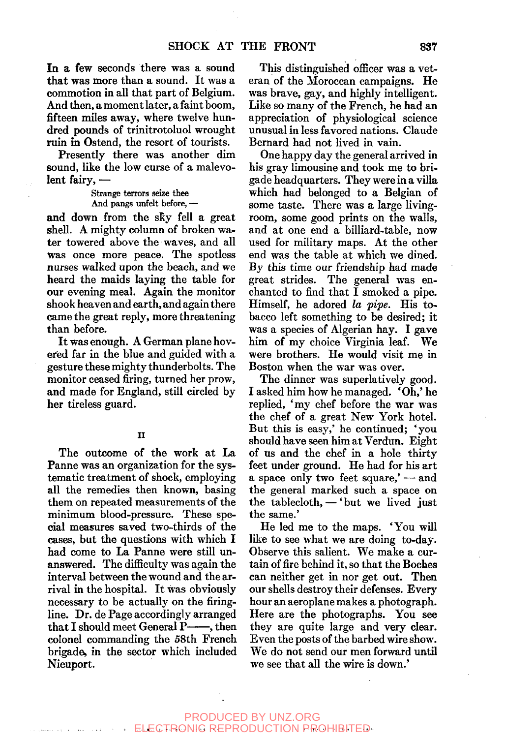In a few seconds there was a sound that was more than a sound. It was a commotion in all that part of Belgium. And then, a moment later, a faint boom, fifteen miles away, where twelve hundred pounds of trinitrotoluol wrought ruin in Ostend, the resort of tourists.

Presently there was another dim sound, like the low curse of a malevolent fairy, —

> Strange terrors seize thee And pangs unfelt before, —

and down from the sky fell a great shell. A mighty column of broken water towered above the waves, and all was once more peace. The spotless nurses walked upon the beach, and we heard the maids laying the table for our evening meal. Again the monitor shook heaven and earth, and again there came the great reply, more threatening than before.

It was enough. A German plane hovered far in the blue and guided with a gesture these mighty thunderbolts. The monitor ceased firing, turned her prow, and made for England, still circled by her tireless guard.

The outcome of the work at La Panne was an organization for the systematic treatment of shock, employing all the remedies then known, basing them on repeated measurements of the minimum blood-pressure. These special measures saved two-thirds of the cases, but the questions with which I had come to La Panne were still unanswered. The difficulty was again the interval between the wound and the arrival in the hospital. It was obviously necessary to be actually on the firingline. Dr. de Page accordingly arranged that I should meet General  $P$ —, then colonel commanding the 58th French brigade, in the sector which included Nieuport.

This distinguished officer was a veteran of the Moroccan campaigns. He was brave, gay, and highly intelligent. Like so many of the French, he had an appreciation of physiological science unusual in less favored nations. Claude Bernard had not lived in vain.

One happy day the general arrived in his gray limousine and took me to brigade headquarters. They were in a villa which had belonged to a Belgian of some taste. There was a large livingroom, some good prints on the walls, and at one end a billiard-table, now used for military maps. At the other end was the table at which we dined. By this time our friendship had made great strides. The general was enchanted to find that I smoked a pipe. Himself, he adored *la pipe.* His tobacco left something to be desired; it was a species of Algerian hay. I gave him of my choice Virginia leaf. We were brothers. He would visit me in Boston when the war was over.

The dinner was superlatively good. I asked him how he managed. 'Oh,' he replied, 'my chef before the war was the chef of a great New York hotel. But this is easy,' he continued; 'you should have seen him at Verdun. Eight of us and the chef in a hole thirty feet under ground. He had for his art a space only two feet square,' — and the general marked such a space on the tablecloth,  $-$  'but we lived just the same.'

He led me to the maps. 'You will like to see what we are doing to-day. Observe this salient. We make a curtain of fire behind it, so that the Boches can neither get in nor get out. Then our shells destroy their defenses. Every hour an aeroplane makes a photograph. Here are the photographs. You see they are quite large and very clear. Even the posts of the barbed wire show. We do not send our men forward until we see that all the wire is down.'

**II**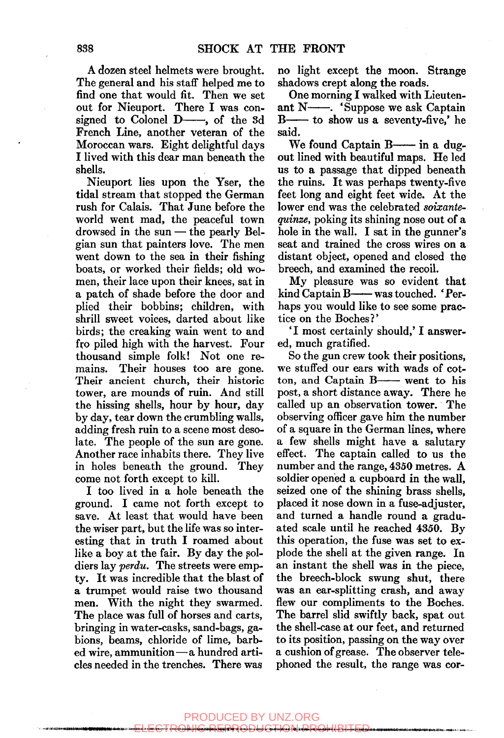A dozen steel helmets were brought. The general and his staff helped me to find one that would fit. Then we set out for Nieuport. There I was consigned to Colonel  $D$ —, of the 3d French Line, another veteran of the Moroccan wars. Eight delightful days I lived with this dear man beneath the shells.

Nieuport lies upon the Yser, the tidal stream that stopped the German rush for Calais. That June before the world went mad, the peaceful town drowsed in the sun — the pearly Belgian sun that painters love. The men went down to the sea in their fishing boats, or worked their fields; old women, their lace upon their knees, sat in a patch of shade before the door and plied their bobbins; children, with shrill sweet voices, darted about like birds; the creaking wain went to and fro piled high with the harvest. Four thousand simple folk! Not one remains. Their houses too are gone. Their ancient church, their historic tower, are mounds of ruin. And still the hissing shells, hour by hour, day by day, tear down the crumbling walls, adding fresh ruin to a scene most desolate. The people of the sun are gone. Another race inhabits there. They live in holes beneath the ground. They come not forth except to kill.

I too lived in a hole beneath the ground. I came not forth except to save. At least that would have been the wiser part, but the life was so interesting that in truth I roamed about like a boy at the fair. By day the soldiers lay *perdu*. The streets were empty. It was incredible that the blast of a trumpet would raise two thousand men. With the night they swarmed. The place was full of horses and carts, bringing in water-casks, sand-bags, gabions, beams, chloride of lime, barbed wire, ammunition—a hundred articles needed in the trenches. There was

no light except the moon. Strange shadows crept along the roads.

One morning I walked with Lieutenant  $N$ — . 'Suppose we ask Captain  $B$ — to show us a seventy-five,' he said.

We found Captain  $B$ — in a dugout lined with beautiful maps. He led us to a passage that dipped beneath the ruins. It was perhaps twenty-five feet long and eight feet wide. At the lower end was the celebrated *soixantequinze,* poking its shining nose out of a hole in the wall. I sat in the gunner's seat and trained the cross wires on a distant object, opened and closed the breech, and examined the recoil.

My pleasure was so evident that  $\operatorname{kind}$  Captain B—— was touched. 'Perhaps you would like to see some practice on the Boches?'

\*I most certainly should,' I answered, much gratified.

So the gun crew took their positions, we stuffed our ears with wads of cotton, and Captain  $B$ — went to his post, a short distance away. There he called up an observation tower. The observing officer gave him the number of a square in the German lines, where a few shells might have a salutary effect. The captain called to us the number and the range, 4350 metres. A soldier opened a cupboard in the wall, seized one of the shining brass shells, placed it nose down in a fuse-adjuster, and turned a handle round a graduated scale until he reached 4350. By this operation, the fuse was set to explode the shell at the given range. In an instant the shell was in the piece, the breech-block swung shut, there was an ear-splitting crash, and away flew our compliments to the Boches. The barrel slid swiftly back, spat out the shell-case at our feet, and returned to its position, passing on the way over a cushion of grease. The observer telephoned the result, the range was cor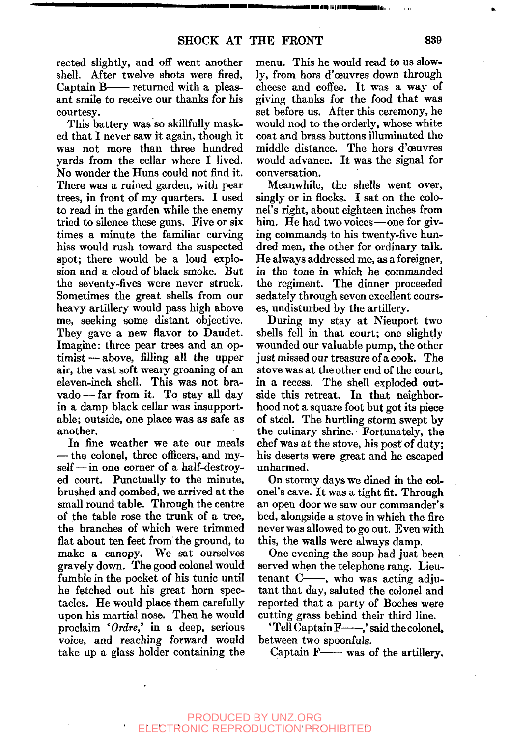rected slightly, and off went another shell. After twelve shots were fired. Captain  $B$ —— returned with a pleasant smile to receive our thanks for his courtesy.

This battery was so skillfully masked that I never saw it again, though it was not more than three hundred yards from the cellar where I lived. No wonder the Huns could not find it. There was a ruined garden, with pear trees, in front of my quarters. I used to read in the garden while the enemy tried to silence these guns. Five or six times a minute the familiar curving hiss would rush toward the suspected spot; there would be a loud explosion and a cloud of black smoke. But the seventy-fives were never struck. Sometimes the great shells from our heavy artillery would pass high above me, seeking some distant objective. They gave a new flavor to Daudet. Imagine: three pear trees and an optimist— above, filling all the upper air, the vast soft weary groaning of an eleven-inch shell. This was not bravado — far from it. To stay all day in a damp black cellar was insupportable; outside, one place was as safe as another.

In fine weather we ate our meals — the colonel, three officers, and myself— in one corner of a half-destroyed court. Punctually to the minute, brushed and combed, we arrived at the small round table. Through the centre of the table rose the trunk of a tree, the branches of which were trimmed flat about ten feet from the ground, to make a canopy. We sat ourselves gravely down. The good colonel would fumble in the pocket of his tunic until he fetched out his great horn spectacles. He would place them carefully upon his martial nose. Then he would proclaim *'Ordre'* in a deep, serious voice, and reaching forward would take up a glass holder containing the menu. This he would read to us slowly, from hors d'ceuvres down through cheese and coffee. It was a way of giving thanks for the food that was set before us. After this ceremony, he would nod to the orderly, whose white coat and brass buttons illuminated the middle distance. The hors d'ceuvres would advance. It was the signal for conversation.

Meanwhile, the shells went over, singly or in flocks. I sat on the colonel's right, about eighteen inches from him. He had two voices—one for giving commands to his twenty-five hundred men, the other for ordinary talk. He always addressed me, as a foreigner, in the tone in which he commanded the regiment. The dinner proceeded sedately through seven excellent courses, undisturbed by the artillery.

During my stay at Nieuport two shells fell in that court; one slightly wounded our valuable pump, the other just missed our treasure of a cook. The stove was at the other end of the court, in a recess. The shell exploded outside this retreat. In that neighborhood not a square foot but got its piece of steel. The hurtling storm swept by the culinary shrine. Fortunately, the chef was at the stove, his post of duty; his deserts were great and he escaped unharmed.

On stormy days we dined in the colonel's cave. It was a tight fit. Through an open door we saw our commander's bed, alongside a stove in which the fire never was allowed to go out. Even with this, the walls were always damp.

One evening the soup had just been served when the telephone rang. Lieutenant  $C \longrightarrow$ , who was acting adjutant that day, saluted the colonel and reported that a party of Boches were cutting grass behind their third line.

'Tell Captain F-,' said the colonel, between two spoonfuls.

Captain  $F$ — was of the artillery.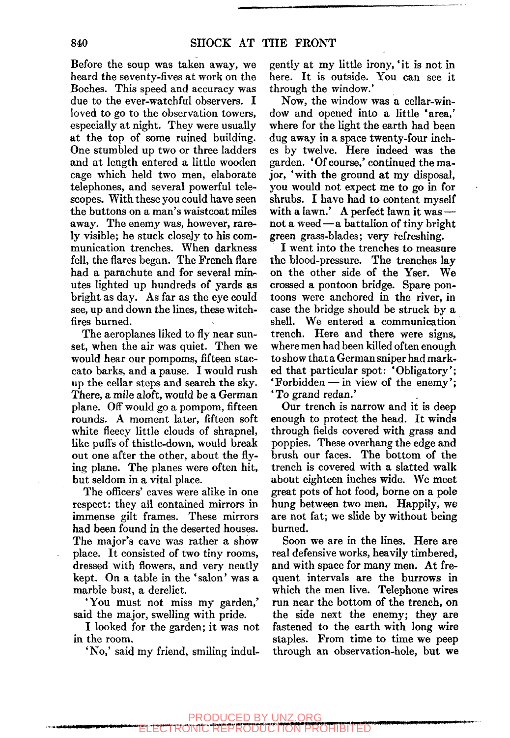Before the soup was taken away, we heard the seventy-fives at work on the Boches. This speed and accuracy was due to the ever-watchful observers. I loved to go to the observation towers, especially at night. They were usually at the top of some ruined building. One stumbled up two or three ladders and at length entered a little wooden cage which held two men, elaborate telephones, and several powerful telescopes. With these you could have seen the buttons on a man's waistcoat miles away. The enemy was, however, rarely visible; he stuck closely to his communication trenches. When darkness fell, the flares began. The French flare had a parachute and for several minutes lighted up hundreds of yards as bright as day. As far as the eye could see, up and down the lines, these witchfires burned.

The aeroplanes liked to fly near sunset, when the air was quiet. Then we would hear our pompoms, fifteen staccato barks, and a pause. I would rush up the cellar steps and search the sky. There, a mile aloft, would be a German plane. Off would go a pompom, fifteen rounds. A moment later, fifteen soft white fleecy little clouds of shrapnel, like puffs of thistle-down, would break out one after the other, about the flying plane. The planes were often hit, but seldom in a vital place.

The officers' caves were alike in one respect: they all contained mirrors in immense gilt frames. These mirrors had been found in the deserted houses. The major's cave was rather a show place. It consisted of two tiny rooms, dressed with flowers, and very neatly kept. On a table in the 'salon' was a marble bust, a derelict.

'You must not miss my garden,' said the major, swelling with pride.

I looked for the garden; it was not in the room.

**^^«i«ii«WHMPNIMMIP** 

'No,' said my friend, smiling indul-

gently at my little irony, 'it is not in here. It is outside. You can see it through the window.'

Now, the window was a cellar-window and opened into a little 'area,' where for the light the earth had been dug away in a space twenty-four inches by twelve. Here indeed was the garden. 'Of course,' continued the major, 'with the ground at my disposal, you would not expect me to go in for shrubs. I have had to content myself with a lawn.' A perfect lawn it was not a weed—a battalion of tiny bright green grass-blades; very refreshing.

I went into the trenches to measure the blood-pressure. The trenches lay on the other side of the Yser. We crossed a pontoon bridge. Spare pontoons were anchored in the river, in case the bridge should be struck by a shell. We entered a communication trench. Here and there were signs, where men had been killed often enough to show that a German sniper had marked that particular spot: 'Obligatory'; 'Forbidden — in view of the enemy'; 'To grand redan.'

Our trench is narrow and it is deep enough to protect the head. It winds through fields covered with grass and poppies. These overhang the edge and brush our faces. The bottom of the trench is covered with a slatted walk about eighteen inches wide. We meet great pots of hot food, borne on a pole hung between two men. Happily, we are not fat; we slide by without being burned.

Soon we are in the lines. Here are real defensive works, heavily timbered, and with space for many men. At frequent intervals are the burrows in which the men live. Telephone wires run near the bottom of the trench, on the side next the enemy; they are fastened to the earth with long wire staples. From time to time we peep through an observation-hole, but we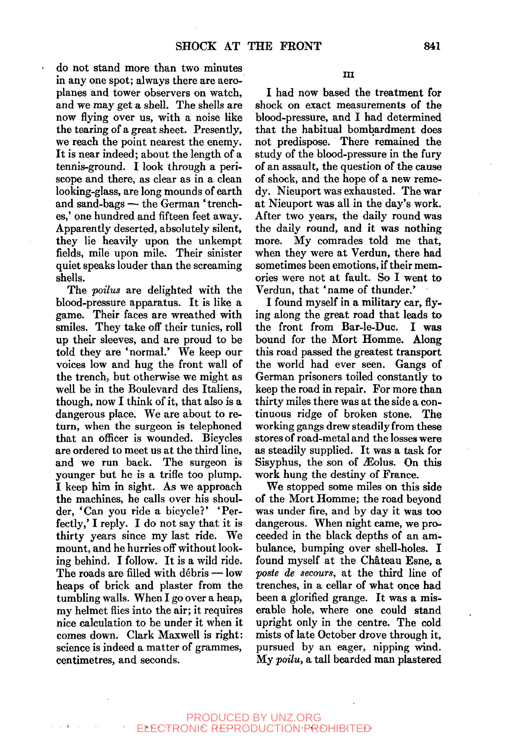do not stand more than two minutes in any one spot; always there are aeroplanes and tower observers on watch, and we may get a shell. The shells are now flying over us, with a noise like the tearing of a great sheet. Presently, we reach the point nearest the enemy. It is near indeed; about the length of a tennis-ground. I look through a periscope and there, as clear as in a clean looking-glass, are long mounds of earth and sand-bags — the German 'trenches,' one hundred and fifteen feet away. Apparently deserted, absolutely silent, they lie heavily upon the unkempt fields, mile upon mile. Their sinister quiet speaks louder than the screaming shells.

The *poilus* are delighted with the blood-pressure apparatus. It is like a game. Their faces are wreathed with smiles. They take off their tunics, roll up their sleeves, and are proud to be told they are 'normal.' We keep our voices low and hug the front wall of the trench, but otherwise we might as well be in the Boulevard des Italiens, though, now I think of it, that also is a dangerous place. We are about to return, when the surgeon is telephoned that an officer is wounded. Bicycles are ordered to meet us at the third line, and we run back. The surgeon is younger but he is a trifle too plump. I keep him in sight. As we approach the machines, he calls over his shoulder, 'Can you ride a bicycle?' 'Perfectly,' I reply. I do not say that it is thirty years since my last ride. We mount, and he hurries off without looking behind. I follow. It is a wild ride. The roads are filled with debris — low heaps of brick and plaster from the tumbling walls. When I go over a heap, my helmet flies into the air; it requires nice calculation to be under it when it comes down. Clark Maxwell is right: science is indeed a matter of grammes, centimetres, and seconds.

I had now based the treatment for shock on exact measurements of the blood-pressure, and I had determined that the habitual bombardment does not predispose. There remained the study of the blood-pressure in the fury of an assault, the question of the cause of shock, and the hope of a new remedy. Nieuport was exhausted. The war at Nieuport was all in the day's work. After two years, the daily round was the daily round, and it was nothing more. My comrades told me that, when they were at Verdun, there had sometimes been emotions, if their memories were not at fault. So I went to Verdun, that 'name of thunder.'

I found myself in a military car, flying along the great road that leads to the front from Bar-le-Duc. I was bound for the Mort Homme. Along this road passed the greatest transport the world had ever seen. Gangs of German prisoners toiled constantly to keep the road in repair. For more than thirty miles there was at the side a continuous ridge of broken stone. The working gangs drew steadily from these stores of road-metal and the losses were as steadily supplied. It was a task for Sisyphus, the son of  $\mathcal{L}$ olus. On this work hung the destiny of France.

We stopped some miles on this side of the Mort Homme; the road beyond was under fire, and by day it was too dangerous. When night came, we proceeded in the black depths of an ambulance, bumping over shell-holes. I found myself at the Chateau Esne, a *paste de secours,* at the third line of trenches, in a cellar of what once had been a glorified grange. It was a miserable hole, where one could stand upright only in the centre. The cold mists of late October drove through it, pursued by an eager, nipping wind. My *•poilu,* a tall bearded man plastered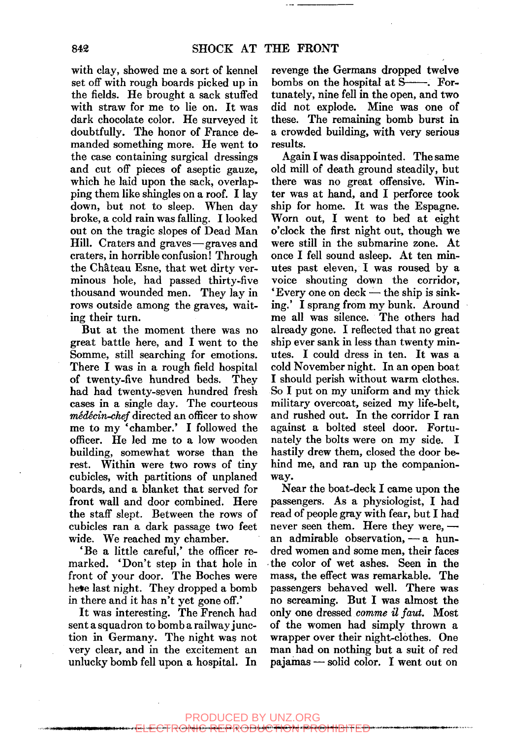with clay, showed me a sort of kennel set off with rough boards picked up in the fields. He brought a sack stuffed with straw for me to lie on. It was dark chocolate color. He surveyed it doubtfully. The honor of France demanded something more. He went to the case containing surgical dressings and cut off pieces of aseptic gauze, which he laid upon the sack, overlapping them like shingles on a roof. I lay down, but not to sleep. When day broke, a cold rain was falling. I looked out on the tragic slopes of Dead Man Hill. Craters and graves—graves and craters, in horrible confusion! Through the Chateau Esne, that wet dirty verminous hole, had passed thirty-five thousand wounded men. They lay in rows outside among the graves, waiting their turn.

But at the moment there was no great battle here, and I went to the Somme, still searching for emotions. There I was in a rough field hospital of twenty-five hundred beds. They had had twenty-seven hundred fresh cases in a single day. The courteous *medecin-chef* directed an officer to show me to my 'chamber.' I followed the officer. He led me to a low wooden building, somewhat worse than the rest. Within were two rows of tiny cubicles, with partitions of unplaned boards, and a blanket that served for front wall and door combined. Here the staff slept. Between the rows of cubicles ran a dark passage two feet wide. We reached my chamber.

'Be a little careful,' the officer remarked. 'Don't step in that hole in front of your door. The Boches were heve last night. They dropped a bomb in there and it has n't yet gone off.'

It was interesting. The French had sent a squadron to bomb a railway junction in Germany. The night was not very clear, and in the excitement an unlucky bomb fell upon a hospital. In

revenge the Germans dropped twelve bombs on the hospital at S--- Fortunately, nine fell in the open, and two did not explode. Mine was one of these. The remaining bomb burst in a crowded building, with very serious results.

Again I was disappointed. The same old mill of death ground steadily, but there was no great offensive. Winter was at hand, and I perforce took ship for home. It was the Espagne. Worn out, I went to bed at eight o'clock the first night out, though we were still in the submarine zone. At once I fell sound asleep. At ten minutes past eleven, I was roused by a voice shouting down the corridor, 'Every one on deck — the ship is sinking.' I sprang from my bunk. Around me all was silence. The others had already gone. I reflected that no great ship ever sank in less than twenty minutes. I could dress in ten. It was a cold November night. In an open boat I should perish without warm clothes. So I put on my uniform and my thick military overcoat, seized my life-belt, and rushed out. In the corridor I ran against a bolted steel door. Fortunately the bolts were on my side. I hastily drew them, closed the door behind me, and ran up the companionway.

Near the boat-deck I came upon the passengers. As a physiologist, I had read of people gray with fear, but I had never seen them. Here they were, an admirable observation, — a hundred women and some men, their faces the color of wet ashes. Seen in the mass, the effect was remarkable. The passengers behaved well. There was no screaming. But I was almost the only one dressed *comme il faut.* Most of the women had simply thrown a wrapper over their night-clothes. One man had on nothing but a suit of red pajamas — solid color. I went out on